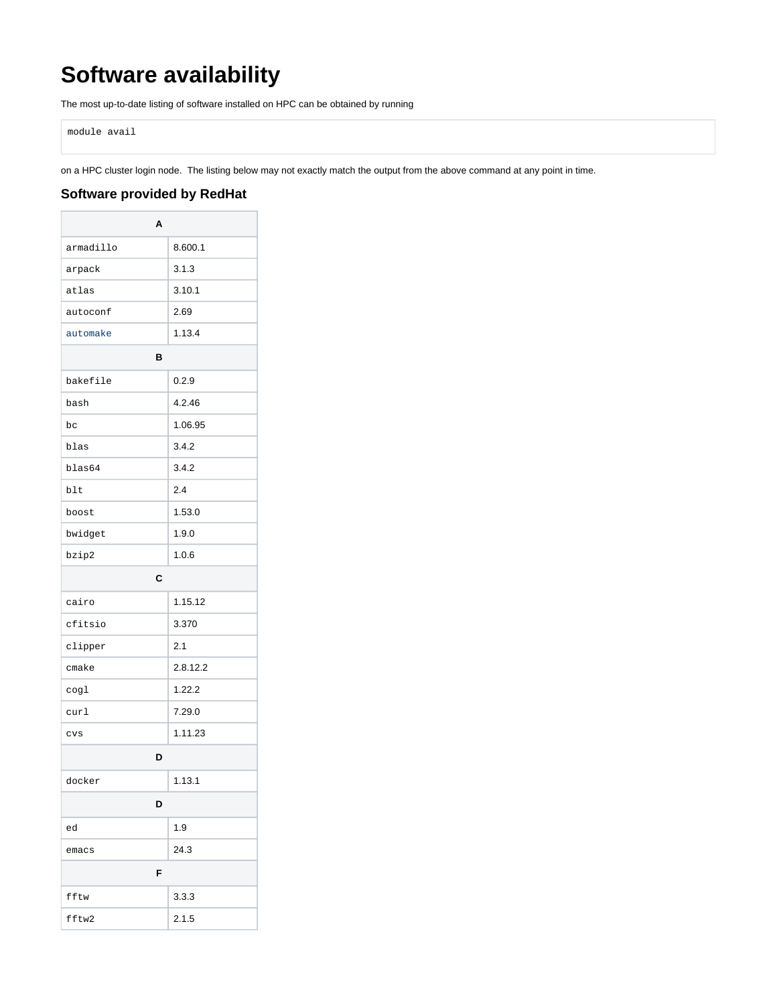## **Software availability**

The most up-to-date listing of software installed on HPC can be obtained by running

module avail

on a HPC cluster login node. The listing below may not exactly match the output from the above command at any point in time.

## **Software provided by RedHat**

| Α         |          |  |
|-----------|----------|--|
| armadillo | 8.600.1  |  |
| arpack    | 3.1.3    |  |
| atlas     | 3.10.1   |  |
| autoconf  | 2.69     |  |
| automake  | 1.13.4   |  |
| в         |          |  |
| bakefile  | 0.2.9    |  |
| bash      | 4.2.46   |  |
| bc        | 1.06.95  |  |
| blas      | 3.4.2    |  |
| blas64    | 3.4.2    |  |
| blt       | 2.4      |  |
| boost     | 1.53.0   |  |
| bwidget   | 1.9.0    |  |
| bzip2     | 1.0.6    |  |
| C         |          |  |
| cairo     | 1.15.12  |  |
| cfitsio   | 3.370    |  |
| clipper   | 2.1      |  |
| cmake     | 2.8.12.2 |  |
| cogl      | 1.22.2   |  |
| curl      | 7.29.0   |  |
| CVS       | 1.11.23  |  |
| D         |          |  |
| docker    | 1.13.1   |  |
| D         |          |  |
| ed        | 1.9      |  |
| emacs     | 24.3     |  |
| F         |          |  |
| fftw      | 3.3.3    |  |
| fftw2     | 2.1.5    |  |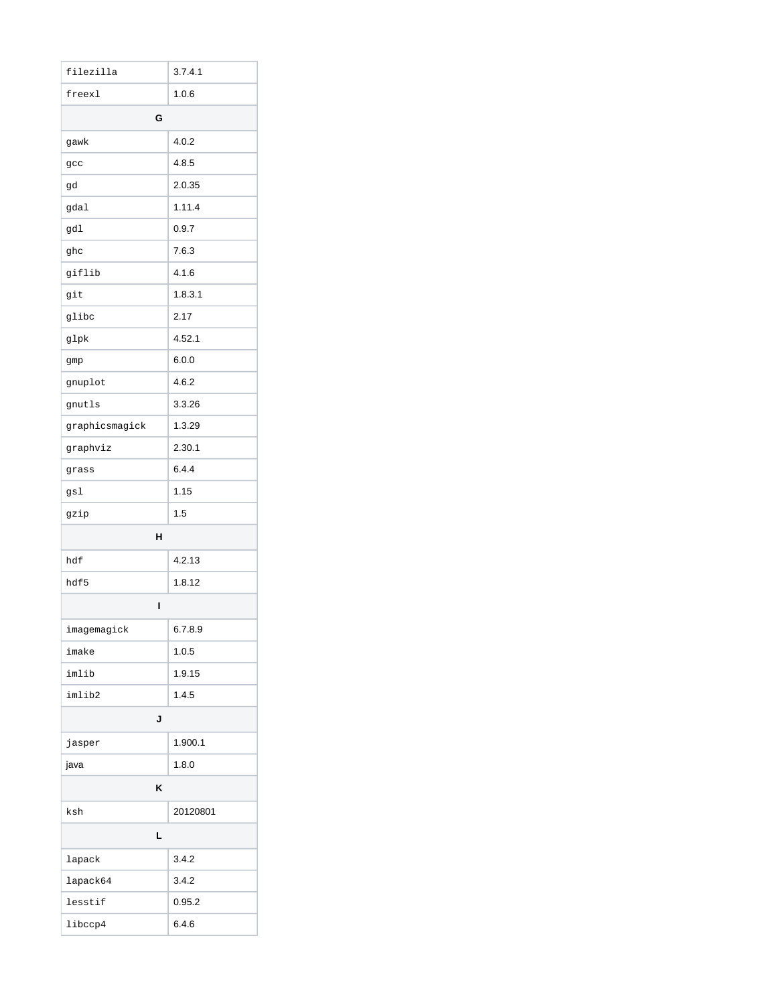| filezilla      | 3.7.4.1  |
|----------------|----------|
| freexl         | 1.0.6    |
| G              |          |
| gawk           | 4.0.2    |
| gcc            | 4.8.5    |
| gd             | 2.0.35   |
| gdal           | 1.11.4   |
| gdl            | 0.9.7    |
| ghc            | 7.6.3    |
| giflib         | 4.1.6    |
| git            | 1.8.3.1  |
| glibc          | 2.17     |
| glpk           | 4.52.1   |
| gmp            | 6.0.0    |
| gnuplot        | 4.6.2    |
| gnutls         | 3.3.26   |
| graphicsmagick | 1.3.29   |
| graphviz       | 2.30.1   |
| grass          | 6.4.4    |
| gsl            | 1.15     |
| gzip           | 1.5      |
| н              |          |
| hdf            | 4.2.13   |
| hdf5           | 1.8.12   |
| ı              |          |
| imagemagick    | 6.7.8.9  |
| imake          | 1.0.5    |
| imlib          | 1.9.15   |
| imlib2         | 1.4.5    |
| J              |          |
| jasper         | 1.900.1  |
| java           | 1.8.0    |
| Κ              |          |
| ksh            | 20120801 |
| L              |          |
| lapack         | 3.4.2    |
| lapack64       | 3.4.2    |
| lesstif        | 0.95.2   |
| libccp4        | 6.4.6    |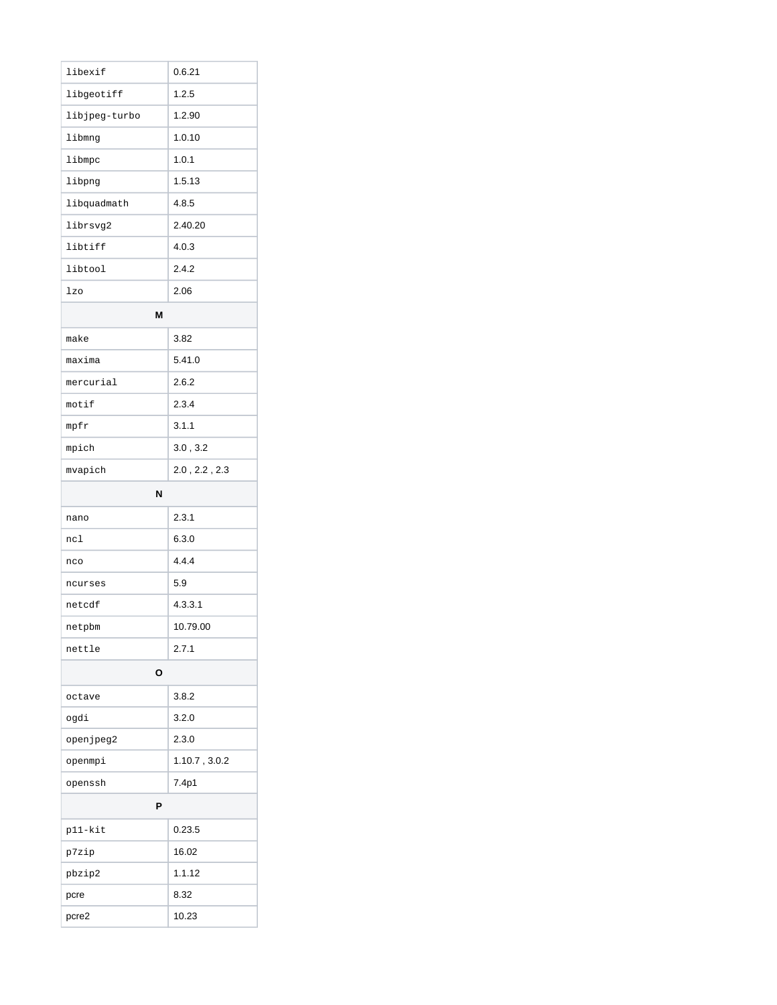| libexif       | 0.6.21                |  |
|---------------|-----------------------|--|
| libgeotiff    | 1.2.5                 |  |
| libjpeg-turbo | 1.2.90                |  |
| libmnq        | 1.0.10                |  |
| libmpc        | 1.0.1                 |  |
| libpng        | 1.5.13                |  |
| libquadmath   | 4.8.5                 |  |
| librsvg2      | 2.40.20               |  |
| libtiff       | 4.0.3                 |  |
| libtool       | 2.4.2                 |  |
| lzo           | 2.06                  |  |
| М             |                       |  |
| make          | 3.82                  |  |
| maxima        | 5.41.0                |  |
| mercurial     | 2.6.2                 |  |
| motif         | 2.3.4                 |  |
| mpfr          | 3.1.1                 |  |
| mpich         | 3.0, 3.2              |  |
| mvapich       | $2.0$ , $2.2$ , $2.3$ |  |
| N             |                       |  |
| nano          | 2.3.1                 |  |
| nc1           | 6.3.0                 |  |
| nco           | 4.4.4                 |  |
| ncurses       | 5.9                   |  |
| netcdf        | 4.3.3.1               |  |
| netpbm        | 10.79.00              |  |
| nettle        | 2.7.1                 |  |
| О             |                       |  |
| octave        | 3.8.2                 |  |
| ogdi          | 3.2.0                 |  |
| openjpeg2     | 2.3.0                 |  |
| openmpi       | 1.10.7, 3.0.2         |  |
| openssh       | 7.4p1                 |  |
| Ρ             |                       |  |
| p11-kit       | 0.23.5                |  |
| p7zip         | 16.02                 |  |
| pbzip2        | 1.1.12                |  |
| pcre          | 8.32                  |  |
| pcre2         | 10.23                 |  |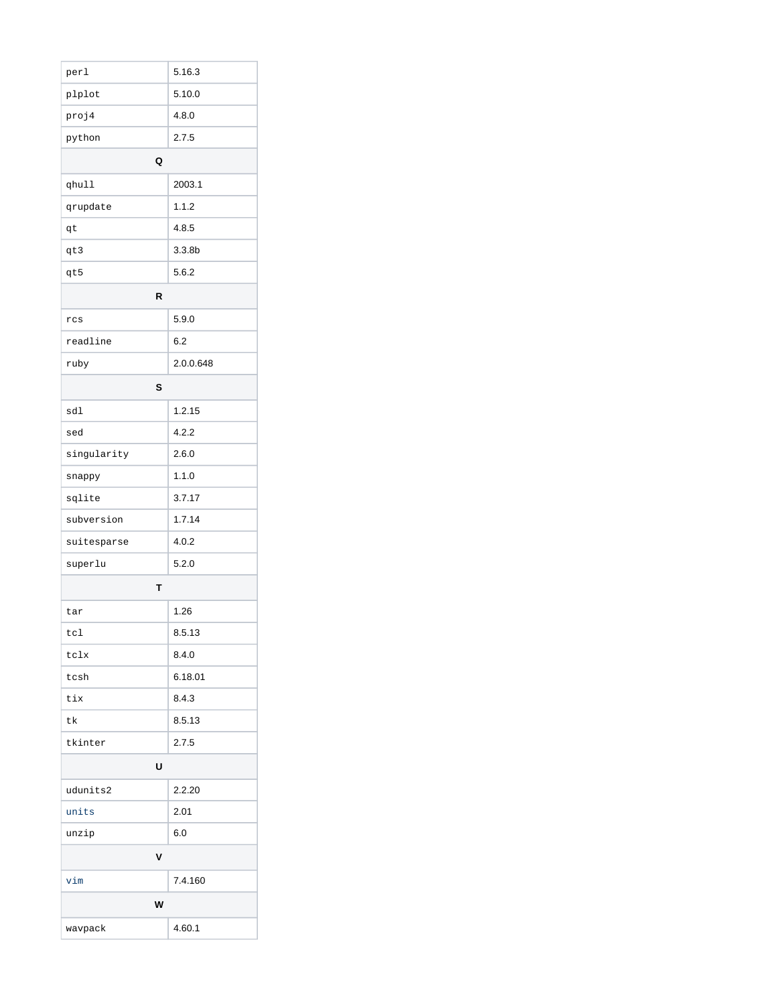| perl        | 5.16.3             |
|-------------|--------------------|
| plplot      | 5.10.0             |
| proj4       | 4.8.0              |
| python      | 2.7.5              |
| Q           |                    |
| qhull       | 2003.1             |
| qrupdate    | 1.1.2              |
| qt          | 4.8.5              |
| qt3         | 3.3.8 <sub>b</sub> |
| qt5         | 5.6.2              |
| R           |                    |
| rcs         | 5.9.0              |
| readline    | 6.2                |
| ruby        | 2.0.0.648          |
| S           |                    |
| sdl         | 1.2.15             |
| sed         | 4.2.2              |
| singularity | 2.6.0              |
| snappy      | 1.1.0              |
| sqlite      | 3.7.17             |
| subversion  | 1.7.14             |
| suitesparse | 4.0.2              |
| superlu     | 5.2.0              |
| Т           |                    |
| tar         | 1.26               |
| tc1         | 8.5.13             |
| tclx        | 8.4.0              |
| tcsh        | 6.18.01            |
| tix         | 8.4.3              |
| tk          | 8.5.13             |
| tkinter     | 2.7.5              |
| U           |                    |
| udunits2    | 2.2.20             |
| units       | 2.01               |
| unzip       | 6.0                |
| V           |                    |
| vim         | 7.4.160            |
| W           |                    |
| wavpack     | 4.60.1             |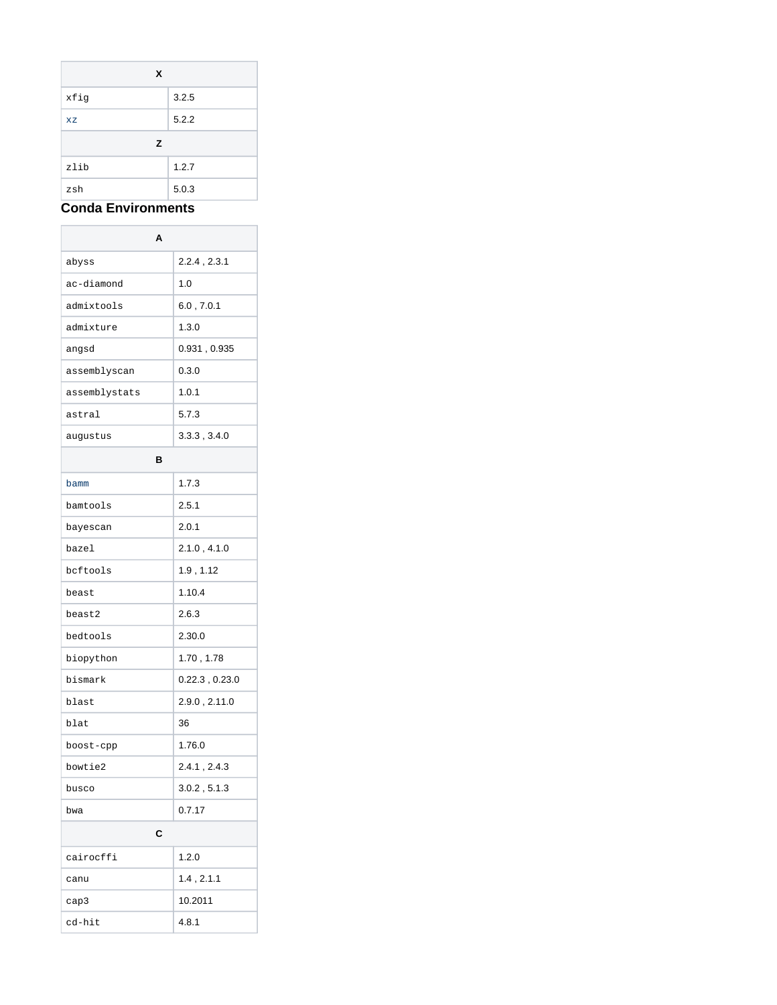| X    |       |
|------|-------|
| xfig | 3.2.5 |
| XZ   | 5.2.2 |
| z    |       |
| zlib | 1.2.7 |
|      |       |

## **Conda Environments**

 $\overline{a}$ 

| А             |                     |
|---------------|---------------------|
| abyss         | $2.2.4$ , $2.3.1$   |
| ac-diamond    | 1.0                 |
| admixtools    | 6.0, 7.0.1          |
| admixture     | 1.3.0               |
| angsd         | 0.931, 0.935        |
| assemblyscan  | 0.3.0               |
| assemblystats | 1.0.1               |
| astral        | 5.7.3               |
| augustus      | 3.3.3, 3.4.0        |
| в             |                     |
| bamm          | 1.7.3               |
| bamtools      | 2.5.1               |
| bayescan      | 2.0.1               |
| bazel         | 2.1.0, 4.1.0        |
| bcftools      | 1.9, 1.12           |
| beast         | 1.10.4              |
| beast2        | 2.6.3               |
| bedtools      | 2.30.0              |
| biopython     | 1.70, 1.78          |
| bismark       | $0.22.3$ , $0.23.0$ |
| blast         | 2.9.0, 2.11.0       |
| blat          | 36                  |
| boost-cpp     | 1.76.0              |
| bowtie2       | 2.4.1, 2.4.3        |
| busco         | 3.0.2, 5.1.3        |
| bwa           | 0.7.17              |
| C             |                     |
| cairocffi     | 1.2.0               |
| canu          | 1.4, 2.1.1          |
| cap3          | 10.2011             |
| cd-hit        | 4.8.1               |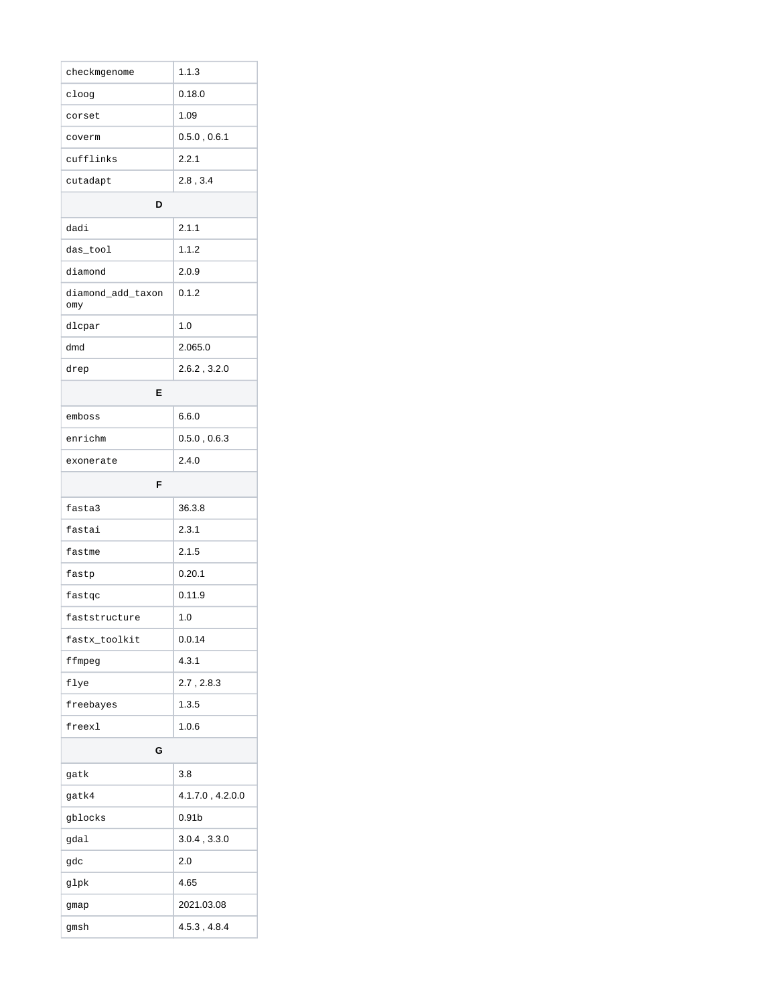| checkmgenome             | 1.1.3             |  |
|--------------------------|-------------------|--|
| cloog                    | 0.18.0            |  |
| corset                   | 1.09              |  |
| coverm                   | 0.5.0, 0.6.1      |  |
| cufflinks                | 2.2.1             |  |
| cutadapt                 | 2.8, 3.4          |  |
| D                        |                   |  |
| dadi                     | 2.1.1             |  |
| das_tool                 | 1.1.2             |  |
| diamond                  | 2.0.9             |  |
| diamond_add_taxon<br>omy | 0.1.2             |  |
| dlcpar                   | 1.0               |  |
| dmd                      | 2.065.0           |  |
| drep                     | 2.6.2, 3.2.0      |  |
| E                        |                   |  |
| emboss                   | 6.6.0             |  |
| enrichm                  | 0.5.0, 0.6.3      |  |
| exonerate                | 2.4.0             |  |
| F                        |                   |  |
|                          |                   |  |
| fasta3                   | 36.3.8            |  |
| fastai                   | 2.3.1             |  |
| fastme                   | 2.1.5             |  |
| fastp                    | 0.20.1            |  |
| fastqc                   | 0.11.9            |  |
| faststructure            | 1.0               |  |
| fastx_toolkit            | 0.0.14            |  |
| ffmpeg                   | 4.3.1             |  |
| flye                     | 2.7, 2.8.3        |  |
| freebayes                | 1.3.5             |  |
| freexl                   | 1.0.6             |  |
| G                        |                   |  |
| gatk                     | 3.8               |  |
| gatk4                    | 4.1.7.0, 4.2.0.0  |  |
| gblocks                  | 0.91 <sub>b</sub> |  |
| gdal                     | 3.0.4, 3.3.0      |  |
| gdc                      | 2.0               |  |
| glpk                     | 4.65              |  |
| gmap                     | 2021.03.08        |  |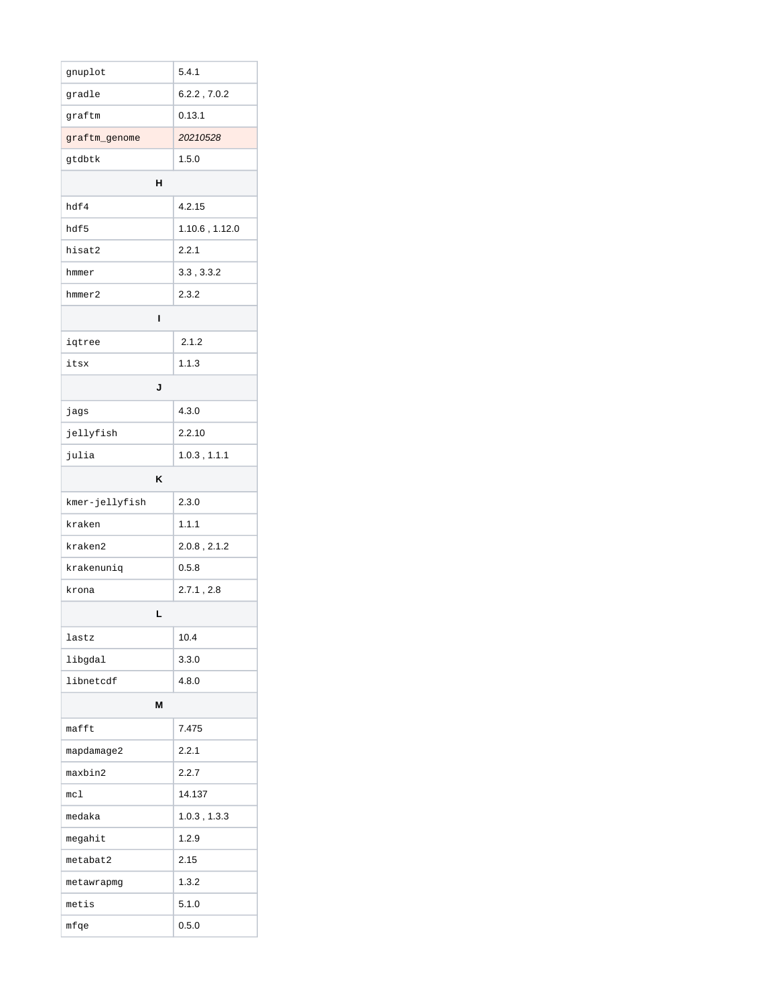| gnuplot        | 5.4.1             |  |
|----------------|-------------------|--|
| gradle         | 6.2.2, 7.0.2      |  |
| graftm         | 0.13.1            |  |
| graftm_genome  | 20210528          |  |
| gtdbtk         | 1.5.0             |  |
| н              |                   |  |
| hdf4           | 4.2.15            |  |
| hdf5           | 1.10.6, 1.12.0    |  |
| hisat2         | 2.2.1             |  |
| hmmer          | 3.3, 3.3.2        |  |
| hmmer2         | 2.3.2             |  |
| ı              |                   |  |
| iqtree         | 2.1.2             |  |
| itsx           | 1.1.3             |  |
| J              |                   |  |
| jags           | 4.3.0             |  |
| jellyfish      | 2.2.10            |  |
| julia          | 1.0.3, 1.1.1      |  |
| κ              |                   |  |
| kmer-jellyfish | 2.3.0             |  |
| kraken         | 1.1.1             |  |
| kraken2        | $2.0.8$ , $2.1.2$ |  |
| krakenuniq     | 0.5.8             |  |
| krona          | 2.7.1, 2.8        |  |
| L              |                   |  |
| lastz          | 10.4              |  |
| libgdal        | 3.3.0             |  |
| libnetcdf      | 4.8.0             |  |
| M              |                   |  |
| mafft          | 7.475             |  |
| mapdamage2     | 2.2.1             |  |
| maxbin2        | 2.2.7             |  |
| mc1            | 14.137            |  |
| medaka         | $1.0.3$ , $1.3.3$ |  |
| megahit        | 1.2.9             |  |
| metabat2       | 2.15              |  |
| metawrapmg     | 1.3.2             |  |
| metis          | 5.1.0             |  |
| mfqe           | 0.5.0             |  |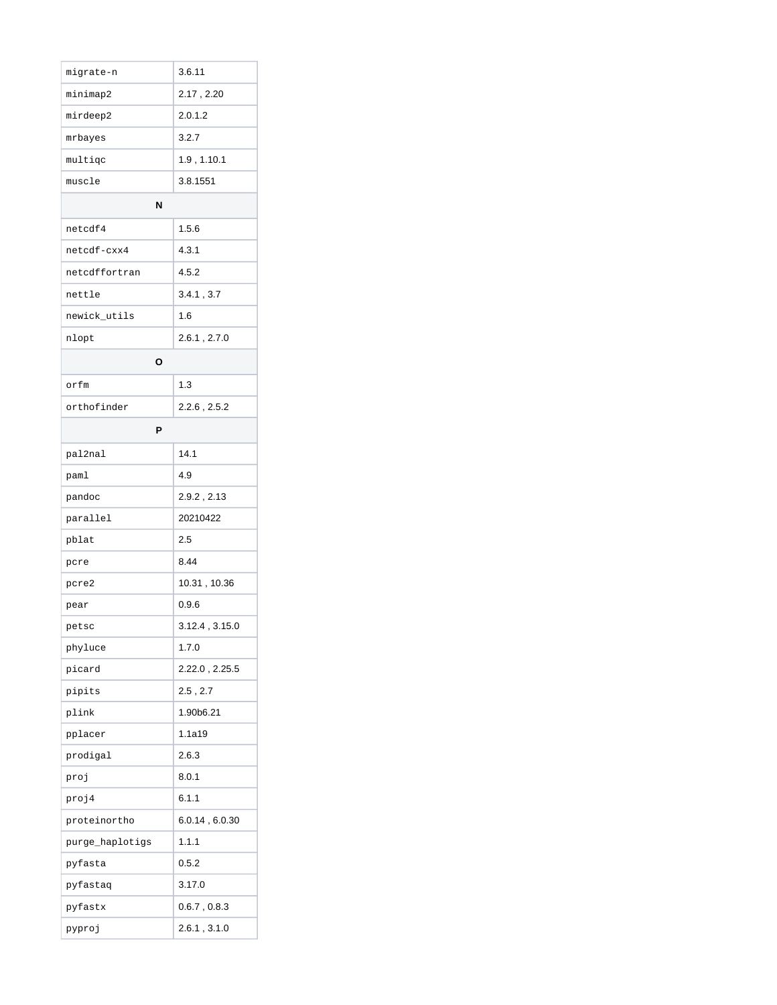| migrate-n       | 3.6.11              |
|-----------------|---------------------|
| minimap2        | 2.17, 2.20          |
| mirdeep2        | 2.0.1.2             |
| mrbayes         | 3.2.7               |
| multigc         | 1.9, 1.10.1         |
| muscle          | 3.8.1551            |
| N               |                     |
| netcdf4         | 1.5.6               |
| netcdf-cxx4     | 4.3.1               |
| netcdffortran   | 4.5.2               |
| nettle          | 3.4.1, 3.7          |
| newick_utils    | 1.6                 |
| nlopt           | $2.6.1$ , $2.7.0$   |
| О               |                     |
| orfm            | 1.3                 |
| orthofinder     | 2.2.6, 2.5.2        |
| P               |                     |
| pal2nal         | 14.1                |
| paml            | 4.9                 |
| pandoc          | 2.9.2, 2.13         |
| parallel        | 20210422            |
| pblat           | 2.5                 |
| pcre            | 8.44                |
| pcre2           | 10.31, 10.36        |
| pear            | 0.9.6               |
| petsc           | $3.12.4$ , $3.15.0$ |
| phyluce         | 1.7.0               |
| picard          | 2.22.0, 2.25.5      |
| pipits          | 2.5, 2.7            |
| plink           | 1.90b6.21           |
| pplacer         | 1.1a19              |
| prodigal        | 2.6.3               |
| proj            | 8.0.1               |
| proj4           | 6.1.1               |
| proteinortho    | 6.0.14, 6.0.30      |
| purge_haplotigs | 1.1.1               |
| pyfasta         | 0.5.2               |
| pyfastaq        | 3.17.0              |
| pyfastx         | 0.6.7, 0.8.3        |
| pyproj          | 2.6.1, 3.1.0        |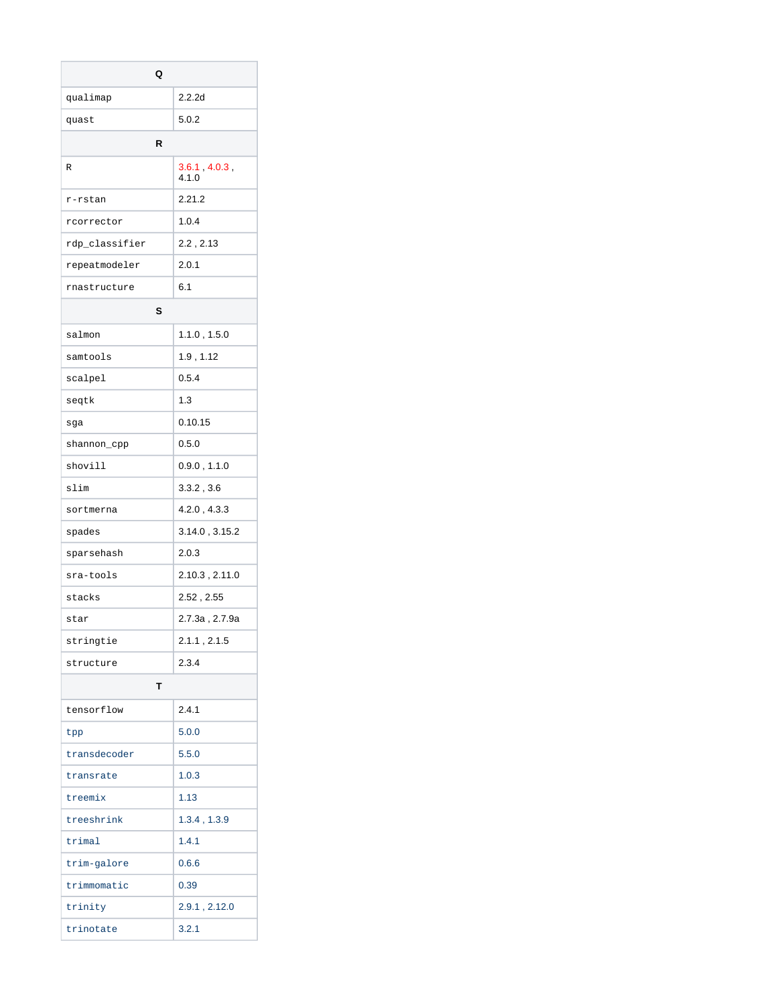| Q              |                        |
|----------------|------------------------|
| qualimap       | 2.2.2d                 |
| quast          | 5.0.2                  |
| R              |                        |
| R              | 3.6.1, 4.0.3,<br>4.1.0 |
| r-rstan        | 2.21.2                 |
| rcorrector     | 1.0.4                  |
| rdp_classifier | 2.2, 2.13              |
| repeatmodeler  | 2.0.1                  |
| rnastructure   | 6.1                    |
| s              |                        |
| salmon         | 1.1.0, 1.5.0           |
| samtools       | 1.9, 1.12              |
| scalpel        | 0.5.4                  |
| seqtk          | 1.3                    |
| sga            | 0.10.15                |
| shannon_cpp    | 0.5.0                  |
| shovill        | 0.9.0, 1.1.0           |
| slim           | 3.3.2, 3.6             |
| sortmerna      | 4.2.0, 4.3.3           |
| spades         | 3.14.0, 3.15.2         |
| sparsehash     | 2.0.3                  |
| sra-tools      | 2.10.3, 2.11.0         |
| stacks         | 2.52, 2.55             |
| star           | 2.7.3a , 2.7.9a        |
| stringtie      | 2.1.1, 2.1.5           |
| structure      | 2.3.4                  |
| т              |                        |
| tensorflow     | 2.4.1                  |
| tpp            | 5.0.0                  |
| transdecoder   | 5.5.0                  |
| transrate      | 1.0.3                  |
| treemix        | 1.13                   |
| treeshrink     | 1.3.4, 1.3.9           |
| trimal         | 1.4.1                  |
| trim-galore    | 0.6.6                  |
| trimmomatic    | 0.39                   |
| trinity        | 2.9.1, 2.12.0          |
| trinotate      | 3.2.1                  |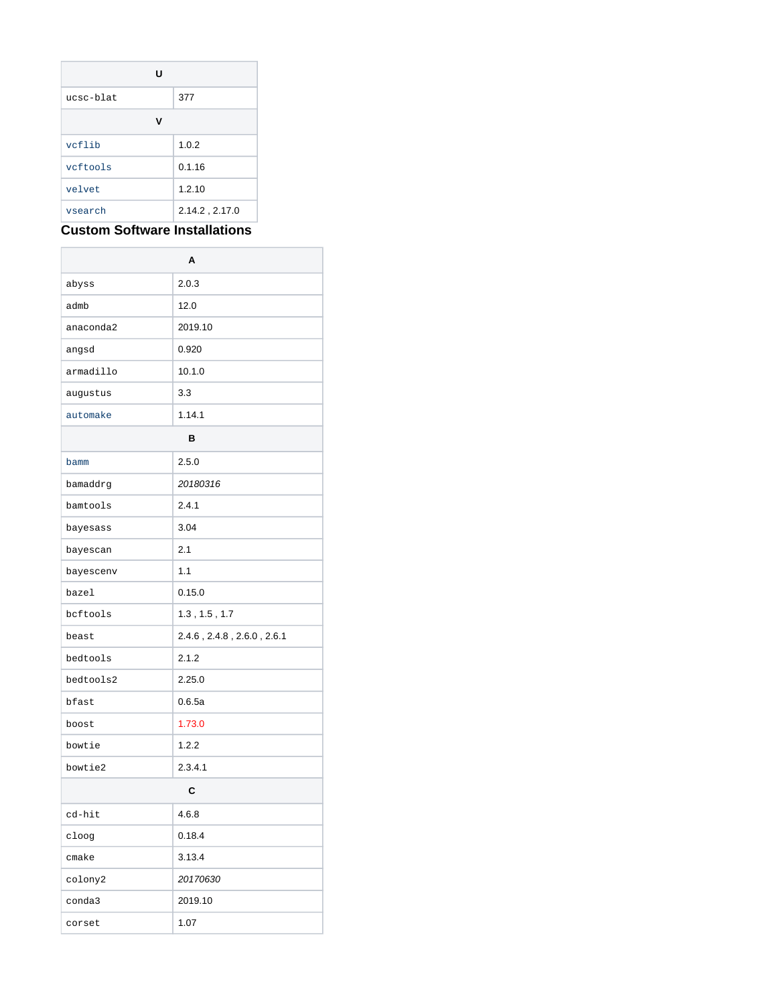| U         |                |
|-----------|----------------|
| ucsc-blat | 377            |
| v         |                |
| vcflib    | 1.0.2          |
| veftools  | 0.1.16         |
| velvet    | 1.2.10         |
| vsearch   | 2.14.2, 2.17.0 |

## **Custom Software Installations**

|           | A                                     |  |
|-----------|---------------------------------------|--|
| abyss     | 2.0.3                                 |  |
| admb      | 12.0                                  |  |
| anaconda2 | 2019.10                               |  |
| angsd     | 0.920                                 |  |
| armadillo | 10.1.0                                |  |
| augustus  | 3.3                                   |  |
| automake  | 1.14.1                                |  |
| в         |                                       |  |
| bamm      | 2.5.0                                 |  |
| bamaddrg  | 20180316                              |  |
| bamtools  | 2.4.1                                 |  |
| bayesass  | 3.04                                  |  |
| bayescan  | 2.1                                   |  |
| bayescenv | 1.1                                   |  |
| bazel     | 0.15.0                                |  |
| bcftools  | 1.3, 1.5, 1.7                         |  |
| beast     | $2.4.6$ , $2.4.8$ , $2.6.0$ , $2.6.1$ |  |
| bedtools  | 2.1.2                                 |  |
| bedtools2 | 2.25.0                                |  |
| bfast     | 0.6.5a                                |  |
| boost     | 1.73.0                                |  |
| bowtie    | 1.2.2                                 |  |
| bowtie2   | 2.3.4.1                               |  |
| С         |                                       |  |
| cd-hit    | 4.6.8                                 |  |
| cloog     | 0.18.4                                |  |
| cmake     | 3.13.4                                |  |
| colony2   | 20170630                              |  |
| conda3    | 2019.10                               |  |
| corset    | 1.07                                  |  |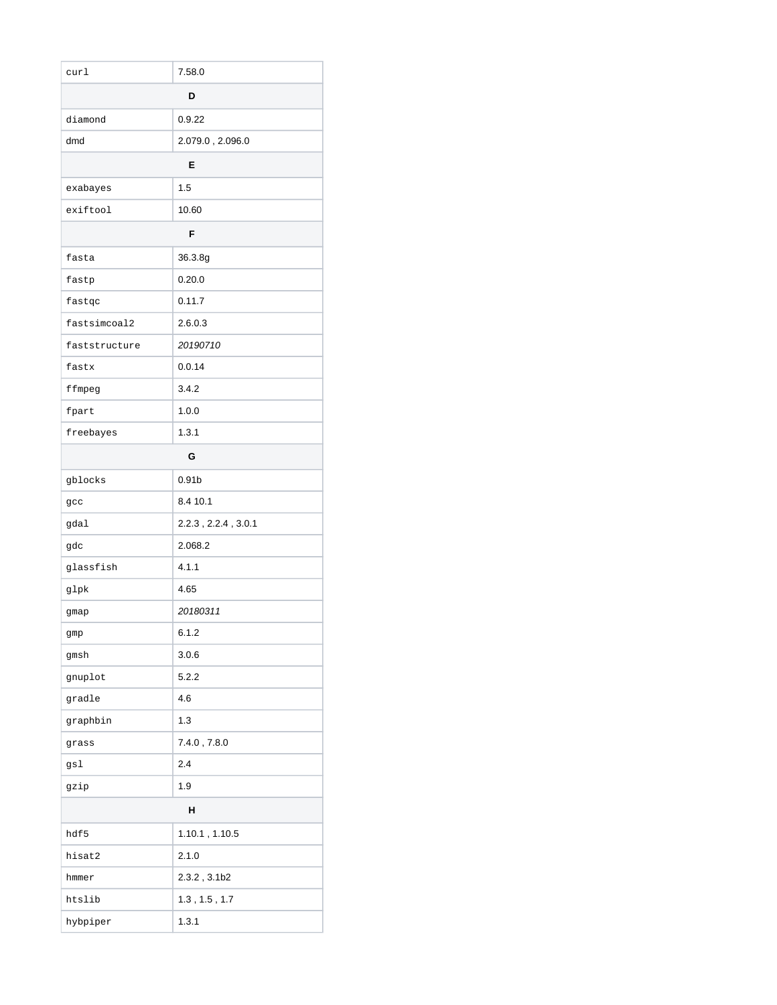| curl          | 7.58.0              |  |
|---------------|---------------------|--|
| D             |                     |  |
| diamond       | 0.9.22              |  |
| dmd           | 2.079.0, 2.096.0    |  |
| Е             |                     |  |
| exabayes      | 1.5                 |  |
| exiftool      | 10.60               |  |
| F             |                     |  |
| fasta         | 36.3.8g             |  |
| fastp         | 0.20.0              |  |
| fastqc        | 0.11.7              |  |
| fastsimcoal2  | 2.6.0.3             |  |
| faststructure | 20190710            |  |
| fastx         | 0.0.14              |  |
| ffmpeg        | 3.4.2               |  |
| fpart         | 1.0.0               |  |
| freebayes     | 1.3.1               |  |
|               | G                   |  |
| gblocks       | 0.91 <sub>b</sub>   |  |
| gcc           | 8.4 10.1            |  |
| gdal          | 2.2.3, 2.2.4, 3.0.1 |  |
| gdc           | 2.068.2             |  |
| glassfish     | 4.1.1               |  |
| glpk          | 4.65                |  |
| gmap          | 20180311            |  |
| gmp           | 6.1.2               |  |
| gmsh          | 3.0.6               |  |
| gnuplot       | 5.2.2               |  |
| gradle        | 4.6                 |  |
| graphbin      | 1.3                 |  |
| grass         | 7.4.0, 7.8.0        |  |
| gsl           | 2.4                 |  |
| gzip          | 1.9                 |  |
| Н             |                     |  |
| hdf5          | 1.10.1, 1.10.5      |  |
| hisat2        | 2.1.0               |  |
| hmmer         | 2.3.2, 3.1b2        |  |
| htslib        | 1.3, 1.5, 1.7       |  |
| hybpiper      | 1.3.1               |  |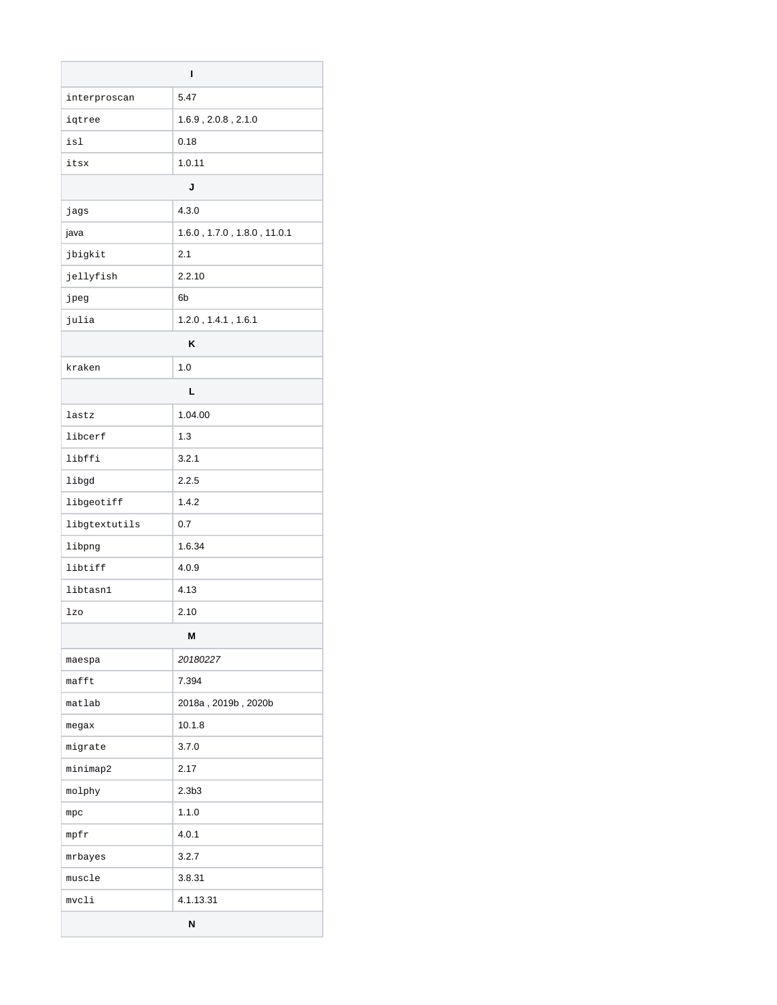| ı             |                             |  |
|---------------|-----------------------------|--|
| interproscan  | 5.47                        |  |
| iqtree        | 1.6.9, 2.0.8, 2.1.0         |  |
| isl           | 0.18                        |  |
| itsx          | 1.0.11                      |  |
|               | J                           |  |
| jags          | 4.3.0                       |  |
| java          | 1.6.0, 1.7.0, 1.8.0, 11.0.1 |  |
| jbigkit       | 2.1                         |  |
| jellyfish     | 2.2.10                      |  |
| jpeg          | 6 <sub>b</sub>              |  |
| julia         | $1.2.0$ , $1.4.1$ , $1.6.1$ |  |
|               | ĸ                           |  |
| kraken        | 1.0                         |  |
| L             |                             |  |
| lastz         | 1.04.00                     |  |
| libcerf       | 1.3                         |  |
| libffi        | 3.2.1                       |  |
| libgd         | 2.2.5                       |  |
| libgeotiff    | 1.4.2                       |  |
| libgtextutils | 0.7                         |  |
| libpng        | 1.6.34                      |  |
| libtiff       | 4.0.9                       |  |
| libtasn1      | 4.13                        |  |
| lzo           | 2.10                        |  |
| M             |                             |  |
| maespa        | 20180227                    |  |
| mafft         | 7.394                       |  |
| matlab        | 2018a, 2019b, 2020b         |  |
| megax         | 10.1.8                      |  |
| migrate       | 3.7.0                       |  |
| minimap2      | 2.17                        |  |
| molphy        | 2.3 <sub>b3</sub>           |  |
| mpc           | 1.1.0                       |  |
| mpfr          | 4.0.1                       |  |
| mrbayes       | 3.2.7                       |  |
| muscle        | 3.8.31                      |  |
| mvcli         | 4.1.13.31                   |  |
| N             |                             |  |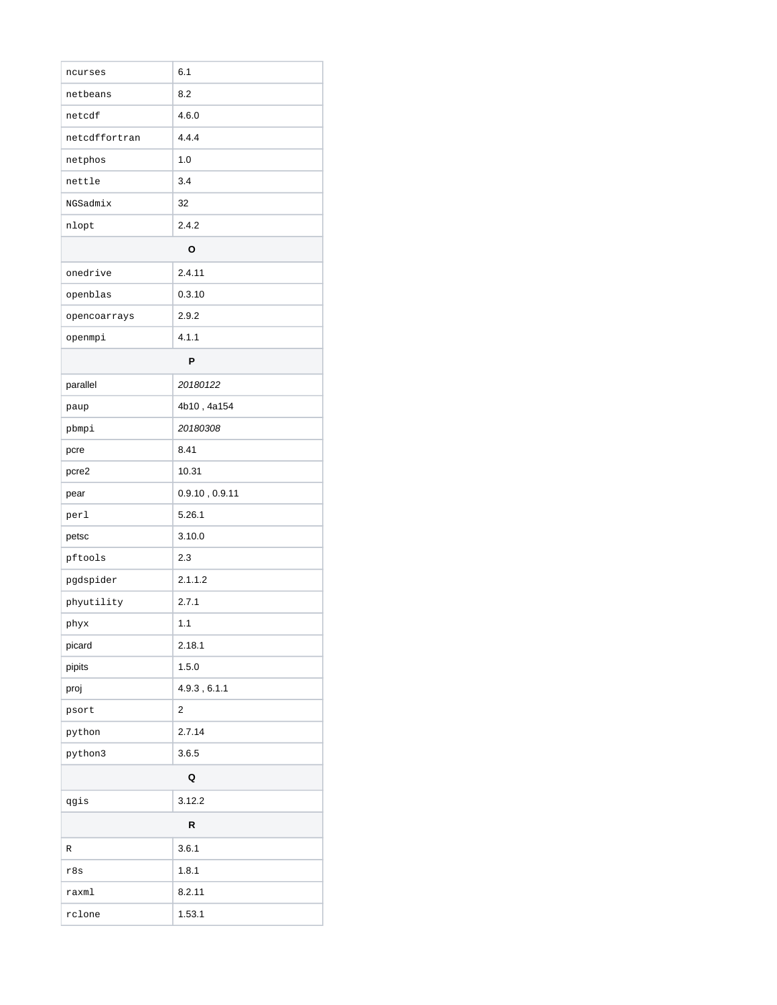| ncurses       | 6.1            |  |
|---------------|----------------|--|
| netbeans      | 8.2            |  |
| netcdf        | 4.6.0          |  |
| netcdffortran | 4.4.4          |  |
| netphos       | 1.0            |  |
| nettle        | 3.4            |  |
| NGSadmix      | 32             |  |
| nlopt         | 2.4.2          |  |
|               | О              |  |
| onedrive      | 2.4.11         |  |
| openblas      | 0.3.10         |  |
| opencoarrays  | 2.9.2          |  |
| openmpi       | 4.1.1          |  |
|               | P              |  |
| parallel      | 20180122       |  |
| paup          | 4b10, 4a154    |  |
| pbmpi         | 20180308       |  |
| pcre          | 8.41           |  |
| pcre2         | 10.31          |  |
| pear          | 0.9.10, 0.9.11 |  |
| perl          | 5.26.1         |  |
| petsc         | 3.10.0         |  |
| pftools       | 2.3            |  |
| pgdspider     | 2.1.1.2        |  |
| phyutility    | 2.7.1          |  |
| phyx          | 1.1            |  |
| picard        | 2.18.1         |  |
| pipits        | 1.5.0          |  |
| proj          | 4.9.3, 6.1.1   |  |
| psort         | 2              |  |
| python        | 2.7.14         |  |
| python3       | 3.6.5          |  |
| Q             |                |  |
| qgis          | 3.12.2         |  |
| R             |                |  |
| R             | 3.6.1          |  |
| r8s           | 1.8.1          |  |
| raxml         | 8.2.11         |  |
| rclone        | 1.53.1         |  |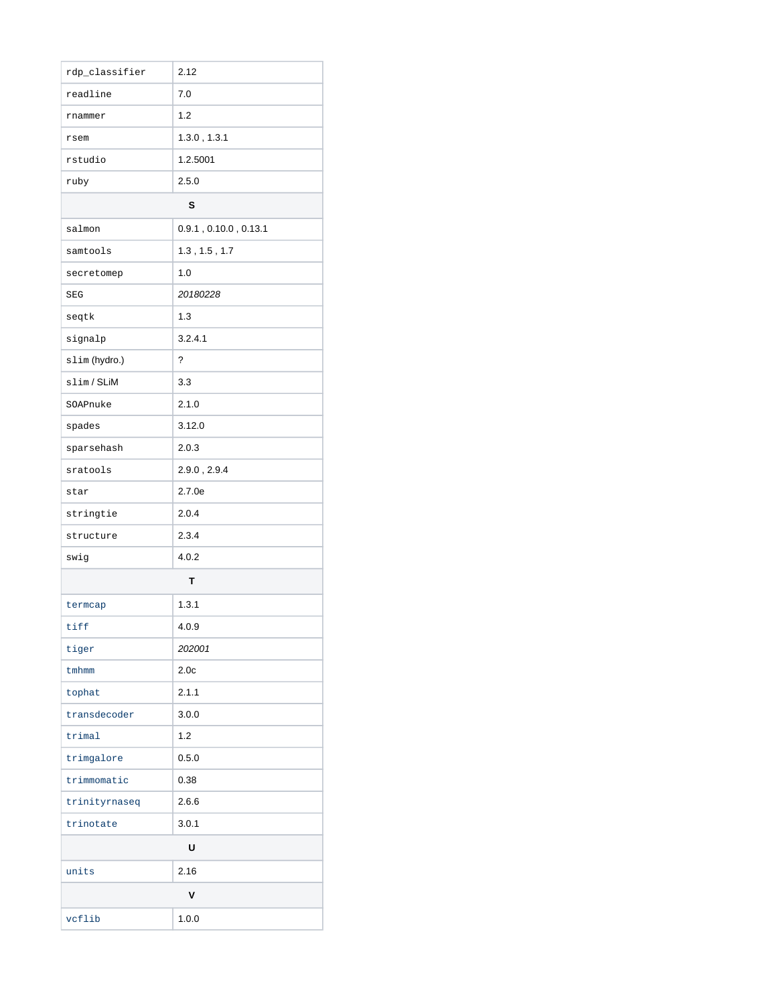| rdp_classifier | 2.12                          |  |
|----------------|-------------------------------|--|
| readline       | 7.0                           |  |
| rnammer        | 1.2                           |  |
| rsem           | 1.3.0, 1.3.1                  |  |
| rstudio        | 1.2.5001                      |  |
| ruby           | 2.5.0                         |  |
|                | S                             |  |
| salmon         | $0.9.1$ , $0.10.0$ , $0.13.1$ |  |
| samtools       | 1.3, 1.5, 1.7                 |  |
| secretomep     | 1.0                           |  |
| <b>SEG</b>     | 20180228                      |  |
| seqtk          | 1.3                           |  |
| signalp        | 3.2.4.1                       |  |
| slim (hydro.)  | ?                             |  |
| slim/SLiM      | 3.3                           |  |
| SOAPnuke       | 2.1.0                         |  |
| spades         | 3.12.0                        |  |
| sparsehash     | 2.0.3                         |  |
| sratools       | 2.9.0, 2.9.4                  |  |
| star           | 2.7.0e                        |  |
| stringtie      | 2.0.4                         |  |
| structure      | 2.3.4                         |  |
| swig           | 4.0.2                         |  |
|                | T                             |  |
| termcap        | 1.3.1                         |  |
| tiff           | 4.0.9                         |  |
| tiger          | 202001                        |  |
| tmhmm          | 2.0 <sub>c</sub>              |  |
| tophat         | 2.1.1                         |  |
| transdecoder   | 3.0.0                         |  |
| trimal         | 1.2                           |  |
| trimgalore     | 0.5.0                         |  |
| trimmomatic    | 0.38                          |  |
| trinityrnaseq  | 2.6.6                         |  |
| trinotate      | 3.0.1                         |  |
| U              |                               |  |
| units          | 2.16                          |  |
| ٧              |                               |  |
| vcflib         | 1.0.0                         |  |